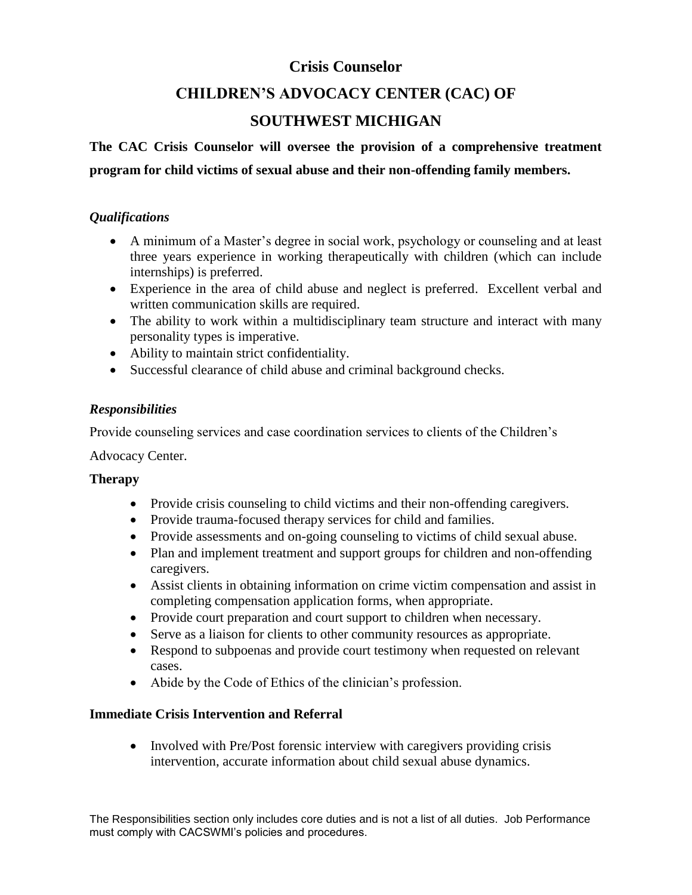## **Crisis Counselor**

## **CHILDREN'S ADVOCACY CENTER (CAC) OF**

## **SOUTHWEST MICHIGAN**

# **The CAC Crisis Counselor will oversee the provision of a comprehensive treatment program for child victims of sexual abuse and their non-offending family members.**

#### *Qualifications*

- A minimum of a Master's degree in social work, psychology or counseling and at least three years experience in working therapeutically with children (which can include internships) is preferred.
- Experience in the area of child abuse and neglect is preferred. Excellent verbal and written communication skills are required.
- The ability to work within a multidisciplinary team structure and interact with many personality types is imperative.
- Ability to maintain strict confidentiality.
- Successful clearance of child abuse and criminal background checks.

### *Responsibilities*

Provide counseling services and case coordination services to clients of the Children's

#### Advocacy Center.

### **Therapy**

- Provide crisis counseling to child victims and their non-offending caregivers.
- Provide trauma-focused therapy services for child and families.
- Provide assessments and on-going counseling to victims of child sexual abuse.
- Plan and implement treatment and support groups for children and non-offending caregivers.
- Assist clients in obtaining information on crime victim compensation and assist in completing compensation application forms, when appropriate.
- Provide court preparation and court support to children when necessary.
- Serve as a liaison for clients to other community resources as appropriate.
- Respond to subpoenas and provide court testimony when requested on relevant cases.
- Abide by the Code of Ethics of the clinician's profession.

### **Immediate Crisis Intervention and Referral**

• Involved with Pre/Post forensic interview with caregivers providing crisis intervention, accurate information about child sexual abuse dynamics.

The Responsibilities section only includes core duties and is not a list of all duties. Job Performance must comply with CACSWMI's policies and procedures.